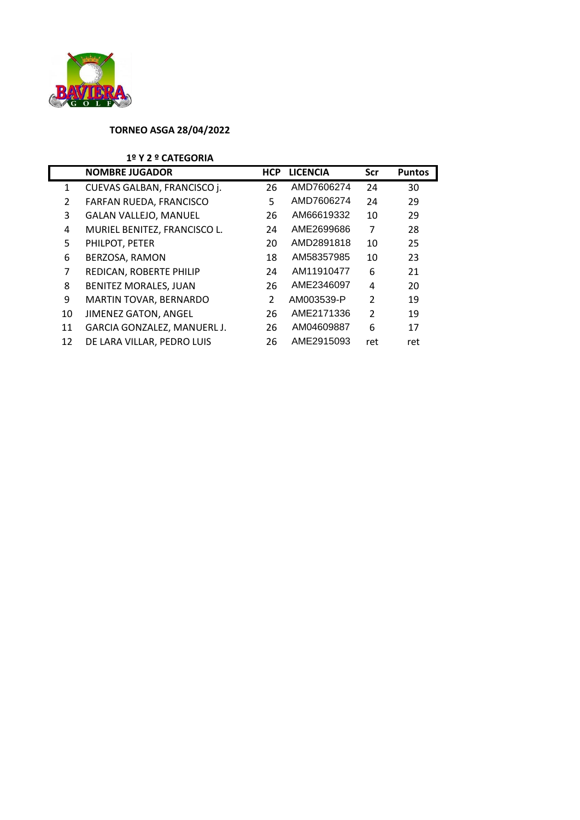

## **TORNEO ASGA 28/04/2022**

## **1º Y 2 º CATEGORIA**

|    | <b>NOMBRE JUGADOR</b>        | <b>HCP</b>    | <b>LICENCIA</b> | Scr           | <b>Puntos</b> |
|----|------------------------------|---------------|-----------------|---------------|---------------|
| 1  | CUEVAS GALBAN, FRANCISCO j.  | 26            | AMD7606274      | 24            | 30            |
| 2  | FARFAN RUEDA, FRANCISCO      | 5             | AMD7606274      | 24            | 29            |
| 3  | <b>GALAN VALLEJO, MANUEL</b> | 26            | AM66619332      | 10            | 29            |
| 4  | MURIEL BENITEZ, FRANCISCO L. | 24            | AME2699686      | 7             | 28            |
| 5  | PHILPOT, PETER               | 20            | AMD2891818      | 10            | 25            |
| 6  | BERZOSA, RAMON               | 18            | AM58357985      | 10            | 23            |
| 7  | REDICAN, ROBERTE PHILIP      | 24            | AM11910477      | 6             | 21            |
| 8  | <b>BENITEZ MORALES, JUAN</b> | 26            | AME2346097      | 4             | 20            |
| 9  | MARTIN TOVAR, BERNARDO       | $\mathcal{P}$ | AM003539-P      | $\mathcal{P}$ | 19            |
| 10 | <b>JIMENEZ GATON, ANGEL</b>  | 26            | AME2171336      | $\mathcal{P}$ | 19            |
| 11 | GARCIA GONZALEZ, MANUERL J.  | 26            | AM04609887      | 6             | 17            |
| 12 | DE LARA VILLAR, PEDRO LUIS   | 26            | AME2915093      | ret           | ret           |
|    |                              |               |                 |               |               |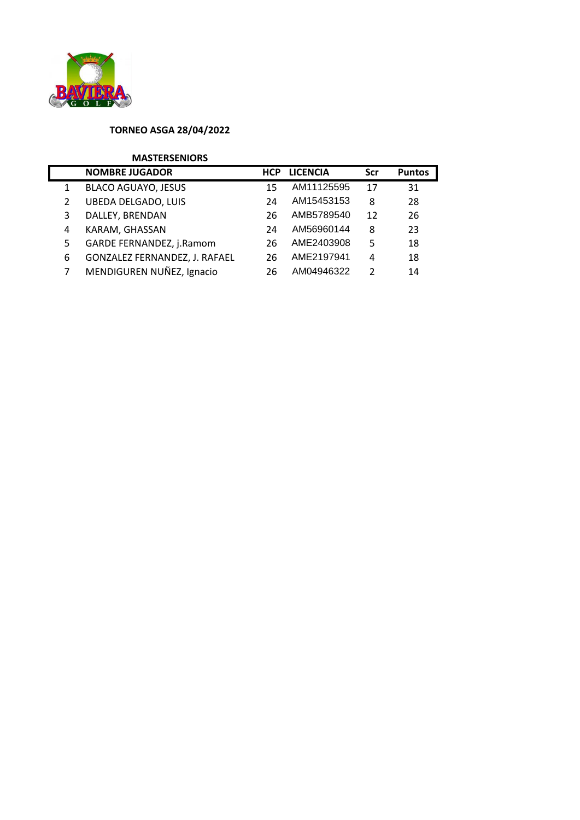

## **TORNEO ASGA 28/04/2022**

## **MASTERSENIORS**

|    | <b>NOMBRE JUGADOR</b>         | <b>HCP</b> | <b>LICENCIA</b> | Scr           | <b>Puntos</b> |
|----|-------------------------------|------------|-----------------|---------------|---------------|
| 1  | <b>BLACO AGUAYO, JESUS</b>    | 15         | AM11125595      | 17            | 31            |
|    | <b>UBEDA DELGADO, LUIS</b>    | 24         | AM15453153      | 8             | 28            |
|    | DALLEY, BRENDAN               | 26         | AMB5789540      | 12            | 26            |
| 4  | KARAM, GHASSAN                | 24         | AM56960144      | 8             | 23            |
| 5. | GARDE FERNANDEZ, j.Ramom      | 26         | AME2403908      | 5             | 18            |
| 6  | GONZALEZ FERNANDEZ, J. RAFAEL | 26         | AME2197941      | 4             | 18            |
|    | MENDIGUREN NUÑEZ, Ignacio     | 26         | AM04946322      | $\mathcal{P}$ | 14            |